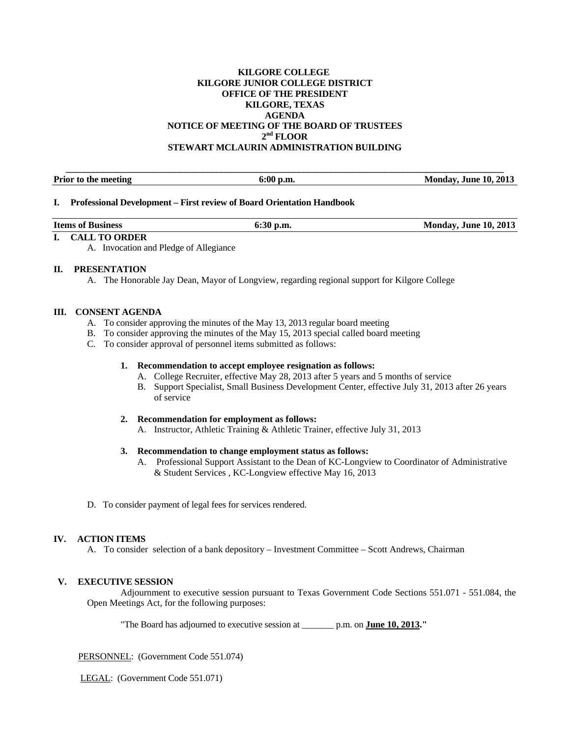## **KILGORE COLLEGE KILGORE JUNIOR COLLEGE DISTRICT OFFICE OF THE PRESIDENT KILGORE, TEXAS AGENDA NOTICE OF MEETING OF THE BOARD OF TRUSTEES 2nd FLOOR STEWART MCLAURIN ADMINISTRATION BUILDING**

**\_\_\_\_\_\_\_\_\_\_\_\_\_\_\_\_\_\_\_\_\_\_\_\_\_\_\_\_\_\_\_\_\_\_\_\_\_\_\_\_\_\_\_\_\_\_\_\_\_\_\_\_\_\_\_\_\_\_\_\_\_\_\_\_\_\_\_\_\_\_\_\_\_\_\_\_\_\_\_\_\_\_\_\_\_\_\_\_\_\_\_\_\_\_\_\_** 

Prior to the meeting **6:00 p.m.** 6:00 p.m. Monday, June 10, 2013

### **I. Professional Development – First review of Board Orientation Handbook**

| <b>Items of Business</b>                                                | $6:30$ p.m. | <b>Monday, June 10, 2013</b> |
|-------------------------------------------------------------------------|-------------|------------------------------|
| $\mathbf{r} = \alpha \mathbf{i} \cdot \mathbf{r}$ and $\alpha$ property |             |                              |

# **I. CALL TO ORDER**

A. Invocation and Pledge of Allegiance

## **II. PRESENTATION**

A. The Honorable Jay Dean, Mayor of Longview, regarding regional support for Kilgore College

### **III. CONSENT AGENDA**

- A. To consider approving the minutes of the May 13, 2013 regular board meeting
- B. To consider approving the minutes of the May 15, 2013 special called board meeting
- C. To consider approval of personnel items submitted as follows:

#### **1. Recommendation to accept employee resignation as follows:**

- A. College Recruiter, effective May 28, 2013 after 5 years and 5 months of service
- B. Support Specialist, Small Business Development Center, effective July 31, 2013 after 26 years of service

#### **2. Recommendation for employment as follows:**

A. Instructor, Athletic Training & Athletic Trainer, effective July 31, 2013

#### **3. Recommendation to change employment status as follows:**

- A. Professional Support Assistant to the Dean of KC-Longview to Coordinator of Administrative & Student Services , KC-Longview effective May 16, 2013
- D. To consider payment of legal fees for services rendered.

#### **IV. ACTION ITEMS**

A. To consider selection of a bank depository – Investment Committee – Scott Andrews, Chairman

#### **V. EXECUTIVE SESSION**

 Adjournment to executive session pursuant to Texas Government Code Sections 551.071 - 551.084, the Open Meetings Act, for the following purposes:

"The Board has adjourned to executive session at \_\_\_\_\_\_\_ p.m. on **June 10, 2013."** 

PERSONNEL: (Government Code 551.074)

LEGAL: (Government Code 551.071)